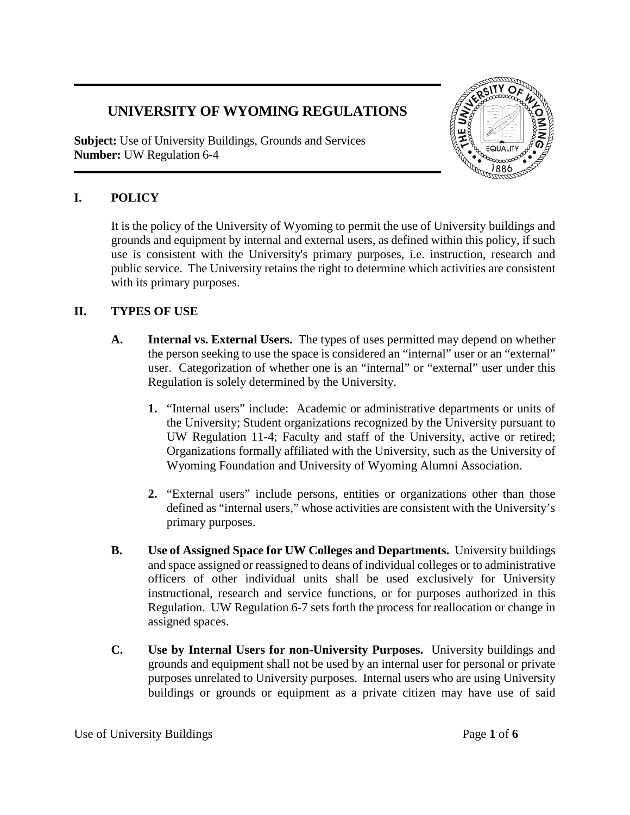# **UNIVERSITY OF WYOMING REGULATIONS**

**Subject:** Use of University Buildings, Grounds and Services **Number:** UW Regulation 6-4



## **I. POLICY**

It is the policy of the University of Wyoming to permit the use of University buildings and grounds and equipment by internal and external users, as defined within this policy, if such use is consistent with the University's primary purposes, i.e. instruction, research and public service. The University retains the right to determine which activities are consistent with its primary purposes.

## **II. TYPES OF USE**

- **A. Internal vs. External Users.** The types of uses permitted may depend on whether the person seeking to use the space is considered an "internal" user or an "external" user. Categorization of whether one is an "internal" or "external" user under this Regulation is solely determined by the University.
	- **1.** "Internal users" include: Academic or administrative departments or units of the University; Student organizations recognized by the University pursuant to UW Regulation 11-4; Faculty and staff of the University, active or retired; Organizations formally affiliated with the University, such as the University of Wyoming Foundation and University of Wyoming Alumni Association.
	- **2.** "External users" include persons, entities or organizations other than those defined as "internal users," whose activities are consistent with the University's primary purposes.
- **B. Use of Assigned Space for UW Colleges and Departments.** University buildings and space assigned or reassigned to deans of individual colleges or to administrative officers of other individual units shall be used exclusively for University instructional, research and service functions, or for purposes authorized in this Regulation. UW Regulation 6-7 sets forth the process for reallocation or change in assigned spaces.
- **C. Use by Internal Users for non-University Purposes.** University buildings and grounds and equipment shall not be used by an internal user for personal or private purposes unrelated to University purposes. Internal users who are using University buildings or grounds or equipment as a private citizen may have use of said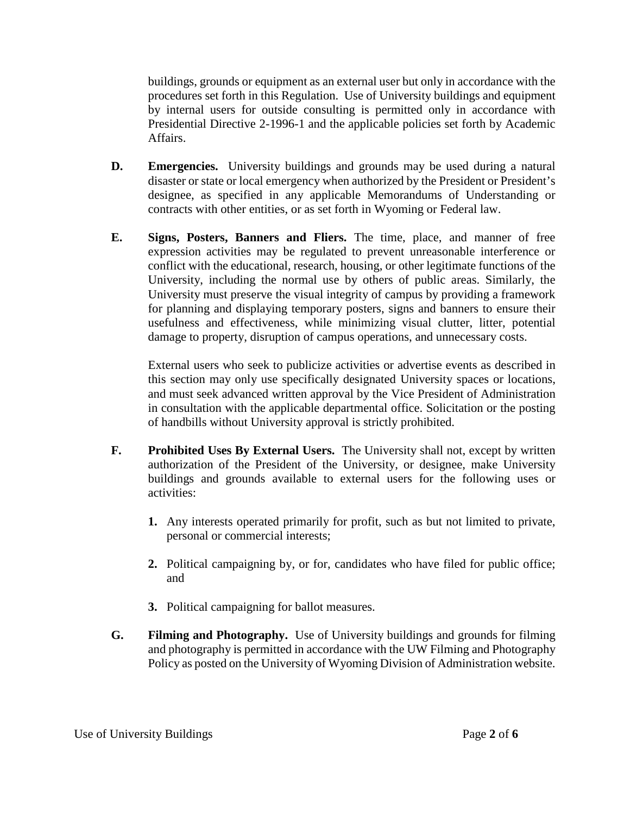buildings, grounds or equipment as an external user but only in accordance with the procedures set forth in this Regulation. Use of University buildings and equipment by internal users for outside consulting is permitted only in accordance with Presidential Directive 2-1996-1 and the applicable policies set forth by Academic Affairs.

- **D. Emergencies.** University buildings and grounds may be used during a natural disaster or state or local emergency when authorized by the President or President's designee, as specified in any applicable Memorandums of Understanding or contracts with other entities, or as set forth in Wyoming or Federal law.
- **E. Signs, Posters, Banners and Fliers.** The time, place, and manner of free expression activities may be regulated to prevent unreasonable interference or conflict with the educational, research, housing, or other legitimate functions of the University, including the normal use by others of public areas. Similarly, the University must preserve the visual integrity of campus by providing a framework for planning and displaying temporary posters, signs and banners to ensure their usefulness and effectiveness, while minimizing visual clutter, litter, potential damage to property, disruption of campus operations, and unnecessary costs.

External users who seek to publicize activities or advertise events as described in this section may only use specifically designated University spaces or locations, and must seek advanced written approval by the Vice President of Administration in consultation with the applicable departmental office. Solicitation or the posting of handbills without University approval is strictly prohibited.

- **F. Prohibited Uses By External Users.** The University shall not, except by written authorization of the President of the University, or designee, make University buildings and grounds available to external users for the following uses or activities:
	- **1.** Any interests operated primarily for profit, such as but not limited to private, personal or commercial interests;
	- **2.** Political campaigning by, or for, candidates who have filed for public office; and
	- **3.** Political campaigning for ballot measures.
- **G. Filming and Photography.** Use of University buildings and grounds for filming and photography is permitted in accordance with the UW Filming and Photography Policy as posted on the University of Wyoming Division of Administration website.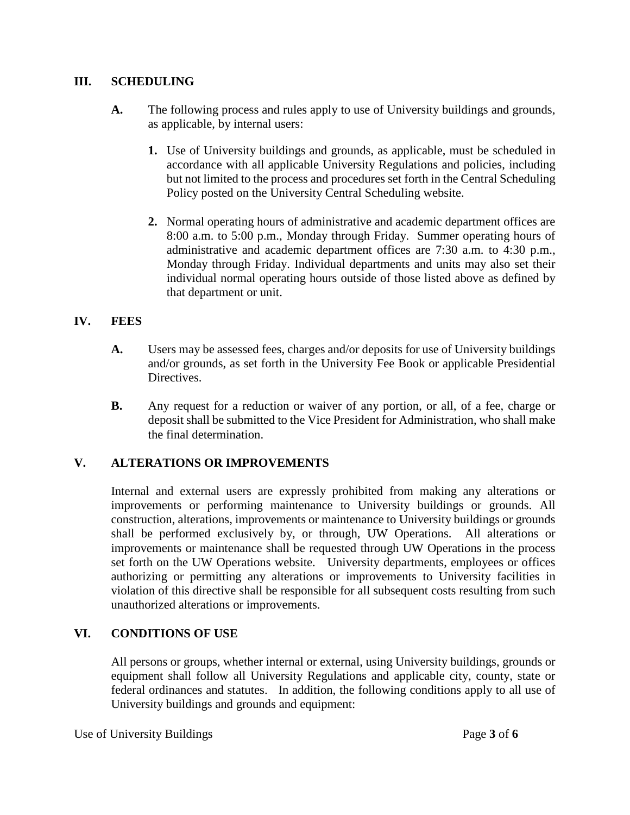### **III. SCHEDULING**

- **A.** The following process and rules apply to use of University buildings and grounds, as applicable, by internal users:
	- **1.** Use of University buildings and grounds, as applicable, must be scheduled in accordance with all applicable University Regulations and policies, including but not limited to the process and procedures set forth in the Central Scheduling Policy posted on the University Central Scheduling website.
	- **2.** Normal operating hours of administrative and academic department offices are 8:00 a.m. to 5:00 p.m., Monday through Friday. Summer operating hours of administrative and academic department offices are 7:30 a.m. to 4:30 p.m., Monday through Friday. Individual departments and units may also set their individual normal operating hours outside of those listed above as defined by that department or unit.

### **IV. FEES**

- **A.** Users may be assessed fees, charges and/or deposits for use of University buildings and/or grounds, as set forth in the University Fee Book or applicable Presidential Directives.
- **B.** Any request for a reduction or waiver of any portion, or all, of a fee, charge or deposit shall be submitted to the Vice President for Administration, who shall make the final determination.

### **V. ALTERATIONS OR IMPROVEMENTS**

Internal and external users are expressly prohibited from making any alterations or improvements or performing maintenance to University buildings or grounds. All construction, alterations, improvements or maintenance to University buildings or grounds shall be performed exclusively by, or through, UW Operations. All alterations or improvements or maintenance shall be requested through UW Operations in the process set forth on the UW Operations website. University departments, employees or offices authorizing or permitting any alterations or improvements to University facilities in violation of this directive shall be responsible for all subsequent costs resulting from such unauthorized alterations or improvements.

### **VI. CONDITIONS OF USE**

All persons or groups, whether internal or external, using University buildings, grounds or equipment shall follow all University Regulations and applicable city, county, state or federal ordinances and statutes. In addition, the following conditions apply to all use of University buildings and grounds and equipment:

Use of University Buildings Page 3 of 6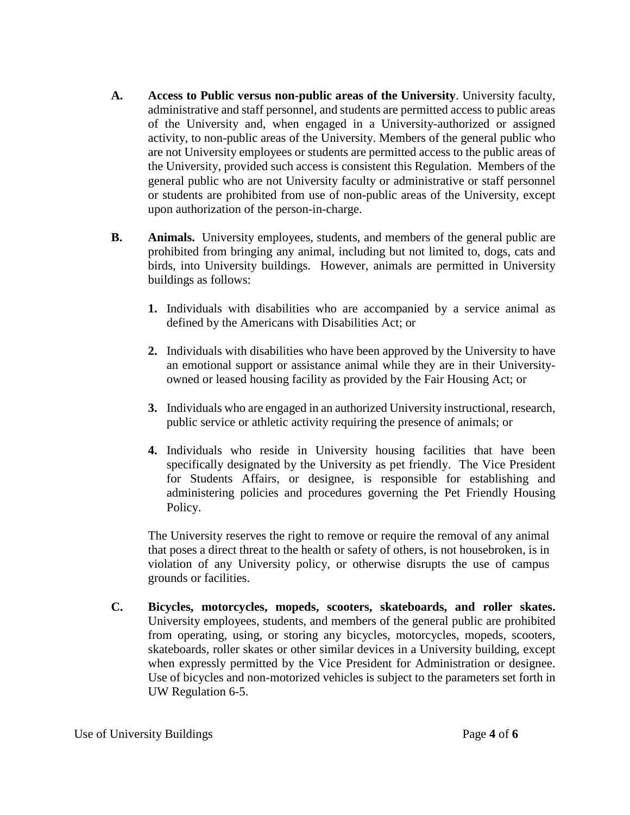- **A. Access to Public versus non-public areas of the University**. University faculty, administrative and staff personnel, and students are permitted access to public areas of the University and, when engaged in a University-authorized or assigned activity, to non-public areas of the University. Members of the general public who are not University employees or students are permitted access to the public areas of the University, provided such access is consistent this Regulation. Members of the general public who are not University faculty or administrative or staff personnel or students are prohibited from use of non-public areas of the University, except upon authorization of the person-in-charge.
- **B. Animals.** University employees, students, and members of the general public are prohibited from bringing any animal, including but not limited to, dogs, cats and birds, into University buildings. However, animals are permitted in University buildings as follows:
	- **1.** Individuals with disabilities who are accompanied by a service animal as defined by the Americans with Disabilities Act; or
	- **2.** Individuals with disabilities who have been approved by the University to have an emotional support or assistance animal while they are in their Universityowned or leased housing facility as provided by the Fair Housing Act; or
	- **3.** Individuals who are engaged in an authorized University instructional, research, public service or athletic activity requiring the presence of animals; or
	- **4.** Individuals who reside in University housing facilities that have been specifically designated by the University as pet friendly. The Vice President for Students Affairs, or designee, is responsible for establishing and administering policies and procedures governing the Pet Friendly Housing Policy.

The University reserves the right to remove or require the removal of any animal that poses a direct threat to the health or safety of others, is not housebroken, is in violation of any University policy, or otherwise disrupts the use of campus grounds or facilities.

**C. Bicycles, motorcycles, mopeds, scooters, skateboards, and roller skates.** University employees, students, and members of the general public are prohibited from operating, using, or storing any bicycles, motorcycles, mopeds, scooters, skateboards, roller skates or other similar devices in a University building, except when expressly permitted by the Vice President for Administration or designee. Use of bicycles and non-motorized vehicles is subject to the parameters set forth in UW Regulation 6-5.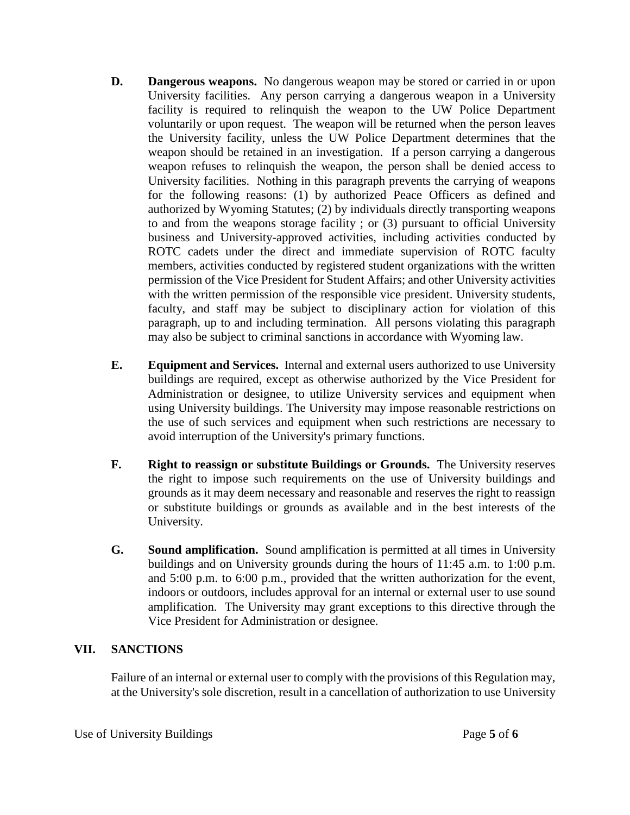- **D. Dangerous weapons.** No dangerous weapon may be stored or carried in or upon University facilities. Any person carrying a dangerous weapon in a University facility is required to relinquish the weapon to the UW Police Department voluntarily or upon request. The weapon will be returned when the person leaves the University facility, unless the UW Police Department determines that the weapon should be retained in an investigation. If a person carrying a dangerous weapon refuses to relinquish the weapon, the person shall be denied access to University facilities. Nothing in this paragraph prevents the carrying of weapons for the following reasons: (1) by authorized Peace Officers as defined and authorized by Wyoming Statutes; (2) by individuals directly transporting weapons to and from the weapons storage facility ; or (3) pursuant to official University business and University-approved activities, including activities conducted by ROTC cadets under the direct and immediate supervision of ROTC faculty members, activities conducted by registered student organizations with the written permission of the Vice President for Student Affairs; and other University activities with the written permission of the responsible vice president. University students, faculty, and staff may be subject to disciplinary action for violation of this paragraph, up to and including termination. All persons violating this paragraph may also be subject to criminal sanctions in accordance with Wyoming law.
- **E. Equipment and Services.** Internal and external users authorized to use University buildings are required, except as otherwise authorized by the Vice President for Administration or designee, to utilize University services and equipment when using University buildings. The University may impose reasonable restrictions on the use of such services and equipment when such restrictions are necessary to avoid interruption of the University's primary functions.
- **F. Right to reassign or substitute Buildings or Grounds.** The University reserves the right to impose such requirements on the use of University buildings and grounds as it may deem necessary and reasonable and reserves the right to reassign or substitute buildings or grounds as available and in the best interests of the University.
- **G. Sound amplification.** Sound amplification is permitted at all times in University buildings and on University grounds during the hours of 11:45 a.m. to 1:00 p.m. and 5:00 p.m. to 6:00 p.m., provided that the written authorization for the event, indoors or outdoors, includes approval for an internal or external user to use sound amplification. The University may grant exceptions to this directive through the Vice President for Administration or designee.

### **VII. SANCTIONS**

Failure of an internal or external user to comply with the provisions of this Regulation may, at the University's sole discretion, result in a cancellation of authorization to use University